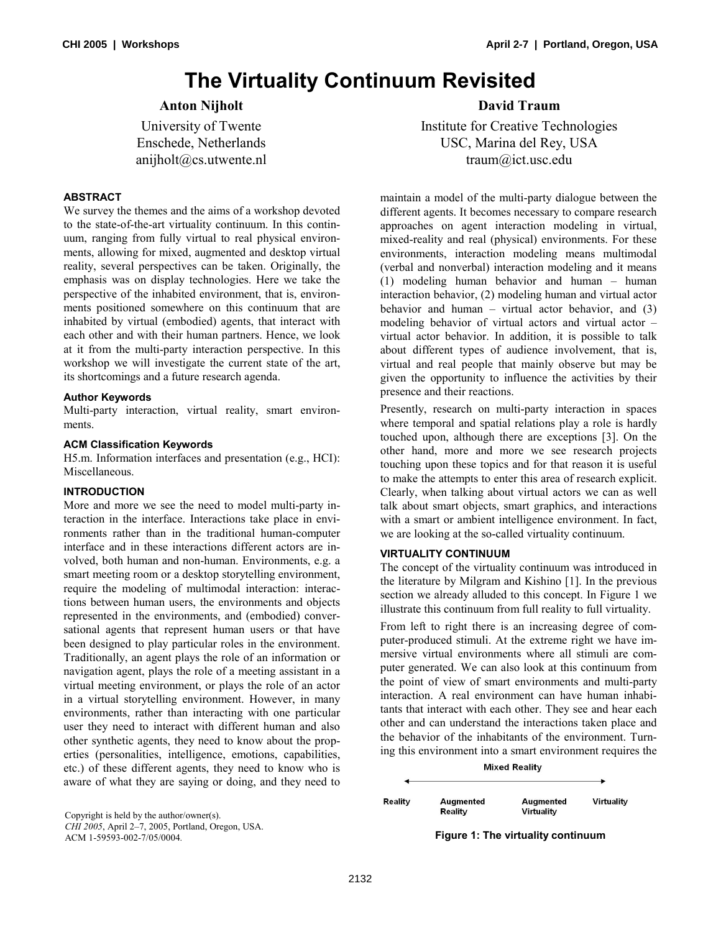# **The Virtuality Continuum Revisited**

# **Anton Nijholt**

University of Twente Enschede, Netherlands anijholt@cs.utwente.nl

## **ABSTRACT**

We survey the themes and the aims of a workshop devoted to the state-of-the-art virtuality continuum. In this continuum, ranging from fully virtual to real physical environments, allowing for mixed, augmented and desktop virtual reality, several perspectives can be taken. Originally, the emphasis was on display technologies. Here we take the perspective of the inhabited environment, that is, environments positioned somewhere on this continuum that are inhabited by virtual (embodied) agents, that interact with each other and with their human partners. Hence, we look at it from the multi-party interaction perspective. In this workshop we will investigate the current state of the art, its shortcomings and a future research agenda.

### **Author Keywords**

Multi-party interaction, virtual reality, smart environments.

### **ACM Classification Keywords**

H5.m. Information interfaces and presentation (e.g., HCI): Miscellaneous.

# **INTRODUCTION**

More and more we see the need to model multi-party interaction in the interface. Interactions take place in environments rather than in the traditional human-computer interface and in these interactions different actors are involved, both human and non-human. Environments, e.g. a smart meeting room or a desktop storytelling environment, require the modeling of multimodal interaction: interactions between human users, the environments and objects represented in the environments, and (embodied) conversational agents that represent human users or that have been designed to play particular roles in the environment. Traditionally, an agent plays the role of an information or navigation agent, plays the role of a meeting assistant in a virtual meeting environment, or plays the role of an actor in a virtual storytelling environment. However, in many environments, rather than interacting with one particular user they need to interact with different human and also other synthetic agents, they need to know about the properties (personalities, intelligence, emotions, capabilities, etc.) of these different agents, they need to know who is aware of what they are saying or doing, and they need to

*CHI 2005*, April 2–7, 2005, Portland, Oregon, USA.

# **David Traum**

Institute for Creative Technologies USC, Marina del Rey, USA traum@ict.usc.edu

maintain a model of the multi-party dialogue between the different agents. It becomes necessary to compare research approaches on agent interaction modeling in virtual, mixed-reality and real (physical) environments. For these environments, interaction modeling means multimodal (verbal and nonverbal) interaction modeling and it means (1) modeling human behavior and human – human interaction behavior, (2) modeling human and virtual actor behavior and human – virtual actor behavior, and  $(3)$ modeling behavior of virtual actors and virtual actor – virtual actor behavior. In addition, it is possible to talk about different types of audience involvement, that is, virtual and real people that mainly observe but may be given the opportunity to influence the activities by their presence and their reactions.

Presently, research on multi-party interaction in spaces where temporal and spatial relations play a role is hardly touched upon, although there are exceptions [3]. On the other hand, more and more we see research projects touching upon these topics and for that reason it is useful to make the attempts to enter this area of research explicit. Clearly, when talking about virtual actors we can as well talk about smart objects, smart graphics, and interactions with a smart or ambient intelligence environment. In fact, we are looking at the so-called virtuality continuum.

#### **VIRTUALITY CONTINUUM**

The concept of the virtuality continuum was introduced in the literature by Milgram and Kishino [1]. In the previous section we already alluded to this concept. In Figure 1 we illustrate this continuum from full reality to full virtuality.

From left to right there is an increasing degree of computer-produced stimuli. At the extreme right we have immersive virtual environments where all stimuli are computer generated. We can also look at this continuum from the point of view of smart environments and multi-party interaction. A real environment can have human inhabitants that interact with each other. They see and hear each other and can understand the interactions taken place and the behavior of the inhabitants of the environment. Turning this environment into a smart environment requires the

**Mixed Reality** 

| Realit∨ | Augmented<br>Reality | Augmented<br>Virtuality | Virtuality |
|---------|----------------------|-------------------------|------------|

ACM 1-59593-002-7/05/0004*.* **Figure 1: The virtuality continuum**